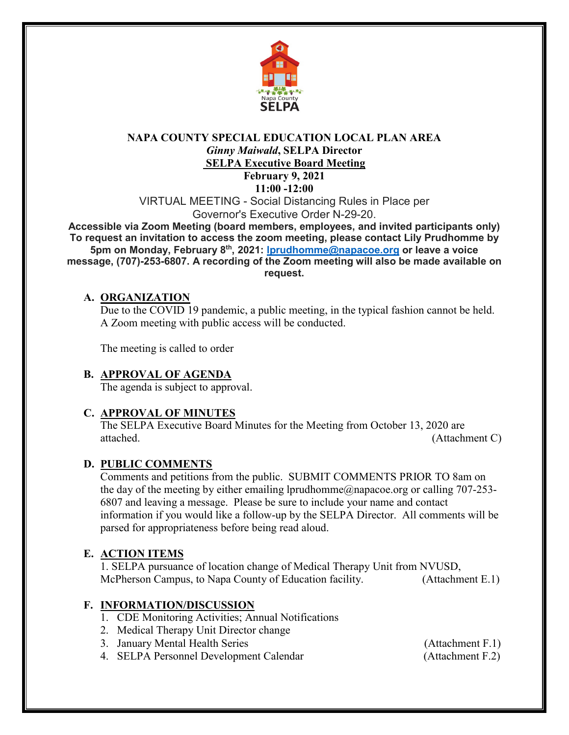

## **NAPA COUNTY SPECIAL EDUCATION LOCAL PLAN AREA** *Ginny Maiwald***, SELPA Director SELPA Executive Board Meeting**

**February 9, 2021 11:00 -12:00**

VIRTUAL MEETING - Social Distancing Rules in Place per Governor's Executive Order N-29-20.

**Accessible via Zoom Meeting (board members, employees, and invited participants only) To request an invitation to access the zoom meeting, please contact Lily Prudhomme by 5pm on Monday, February 8th, 2021: [lprudhomme@napacoe.org](mailto:lprudhomme@napacoe.org) or leave a voice message, (707)-253-6807. A recording of the Zoom meeting will also be made available on request.**

#### **A. ORGANIZATION**

Due to the COVID 19 pandemic, a public meeting, in the typical fashion cannot be held. A Zoom meeting with public access will be conducted.

The meeting is called to order

## **B. APPROVAL OF AGENDA**

The agenda is subject to approval.

## **C. APPROVAL OF MINUTES**

The SELPA Executive Board Minutes for the Meeting from October 13, 2020 are attached. (Attachment C)

#### **D. PUBLIC COMMENTS**

Comments and petitions from the public. SUBMIT COMMENTS PRIOR TO 8am on the day of the meeting by either emailing lprudhomme@napacoe.org or calling 707-253-6807 and leaving a message. Please be sure to include your name and contact information if you would like a follow-up by the SELPA Director. All comments will be parsed for appropriateness before being read aloud.

## **E. ACTION ITEMS**

1. SELPA pursuance of location change of Medical Therapy Unit from NVUSD, McPherson Campus, to Napa County of Education facility. (Attachment E.1)

## **F. INFORMATION/DISCUSSION**

- 1. CDE Monitoring Activities; Annual Notifications
- 2. Medical Therapy Unit Director change
- 3. January Mental Health Series (Attachment F.1)
- 4. SELPA Personnel Development Calendar (Attachment F.2)